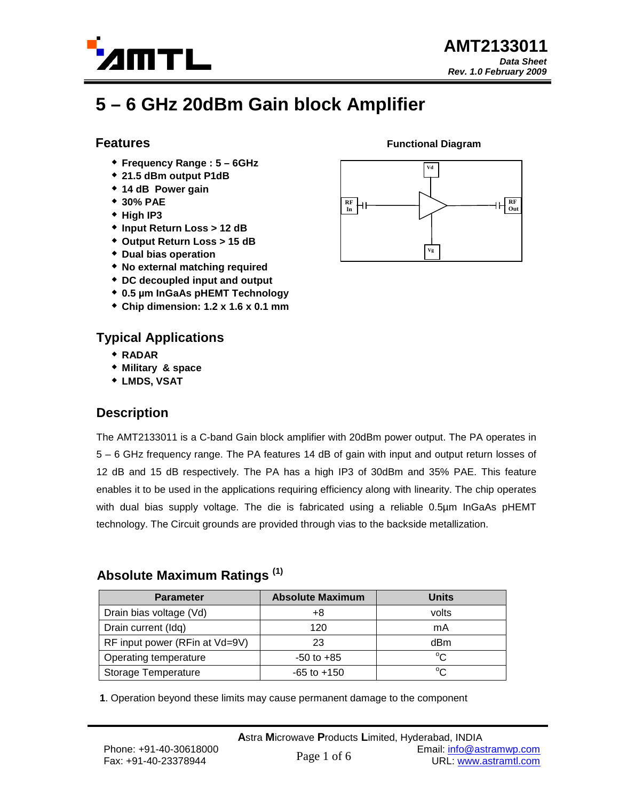

# **5 – 6 GHz 20dBm Gain block Amplifier**

#### **Features**

- **Frequency Range : 5 6GHz**
- **21.5 dBm output P1dB**
- **14 dB Power gain**
- **30% PAE**
- **High IP3**
- **Input Return Loss > 12 dB**
- **Output Return Loss > 15 dB**
- **Dual bias operation**
- **No external matching required**
- **DC decoupled input and output**
- **0.5 µm InGaAs pHEMT Technology**
- **Chip dimension: 1.2 x 1.6 x 0.1 mm**

### **Typical Applications**

- **RADAR**
- **Military & space**
- **LMDS, VSAT**

### **Description**

The AMT2133011 is a C-band Gain block amplifier with 20dBm power output. The PA operates in 5 – 6 GHz frequency range. The PA features 14 dB of gain with input and output return losses of 12 dB and 15 dB respectively. The PA has a high IP3 of 30dBm and 35% PAE. This feature enables it to be used in the applications requiring efficiency along with linearity. The chip operates with dual bias supply voltage. The die is fabricated using a reliable 0.5µm InGaAs pHEMT technology. The Circuit grounds are provided through vias to the backside metallization.

### **Absolute Maximum Ratings (1)**

| <b>Parameter</b>               | <b>Absolute Maximum</b> | <b>Units</b> |
|--------------------------------|-------------------------|--------------|
| Drain bias voltage (Vd)        | +8                      | volts        |
| Drain current (Idq)            | 120                     | mA           |
| RF input power (RFin at Vd=9V) | 23                      | dBm          |
| Operating temperature          | $-50$ to $+85$          | $\sim$       |
| Storage Temperature            | $-65$ to $+150$         | $\sim$       |

**1**. Operation beyond these limits may cause permanent damage to the component



**Functional Diagram**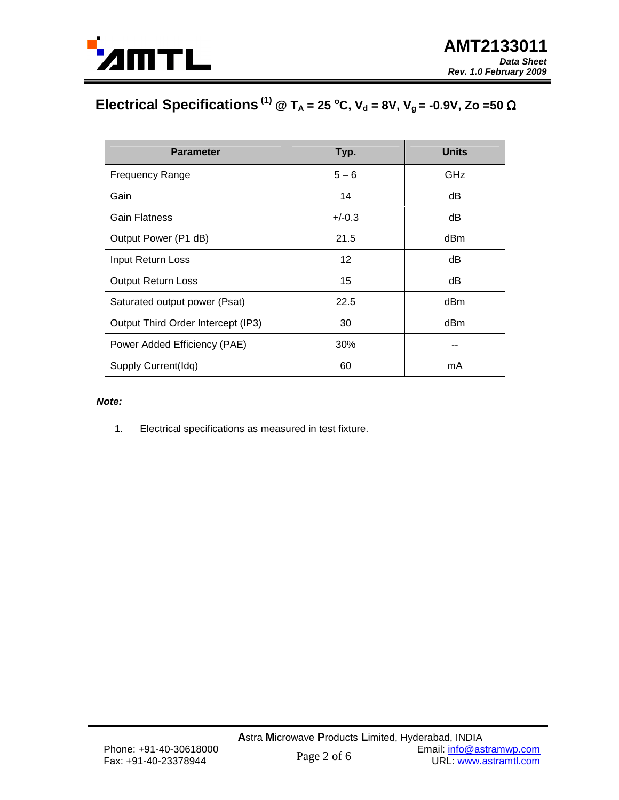

## **Electrical Specifications**<sup>(1)</sup> @ T<sub>A</sub> = 25 °C, V<sub>d</sub> = 8V, V<sub>g</sub> = -0.9V, Zo =50 Ω

| <b>Parameter</b>                   | Typ.     | <b>Units</b> |
|------------------------------------|----------|--------------|
| <b>Frequency Range</b>             | $5 - 6$  | GHz          |
| Gain                               | 14       | dВ           |
| <b>Gain Flatness</b>               | $+/-0.3$ | dB           |
| Output Power (P1 dB)               | 21.5     | dBm          |
| Input Return Loss                  | 12       | dB           |
| <b>Output Return Loss</b>          | 15       | dВ           |
| Saturated output power (Psat)      | 22.5     | dBm          |
| Output Third Order Intercept (IP3) | 30       | dBm          |
| Power Added Efficiency (PAE)       | 30%      |              |
| Supply Current(Idq)                | 60       | mA           |

#### **Note:**

1. Electrical specifications as measured in test fixture.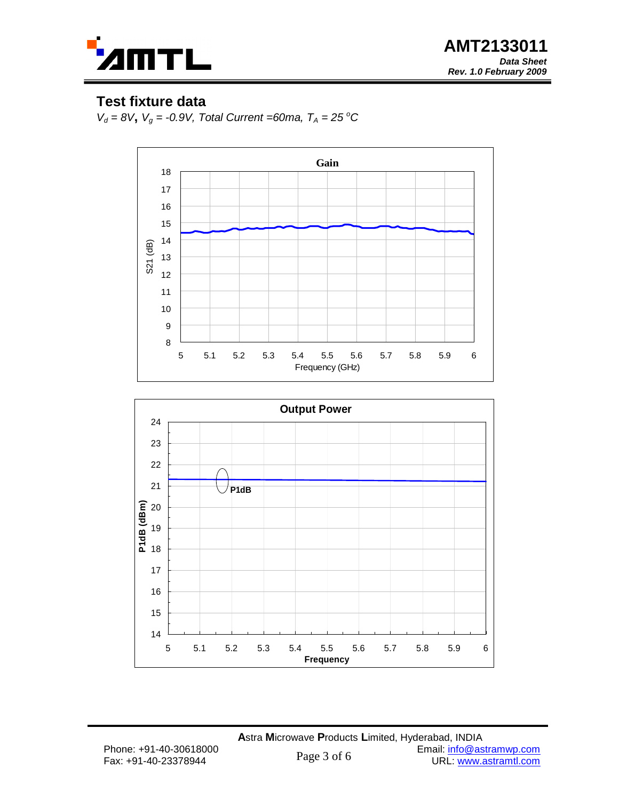

**AMT2133011 Data Sheet Rev. 1.0 February 2009**

### **Test fixture data**

 $V_d = 8V$ ,  $V_q = -0.9V$ , Total Current =60ma,  $T_A = 25\text{ }^{\circ}\text{C}$ 



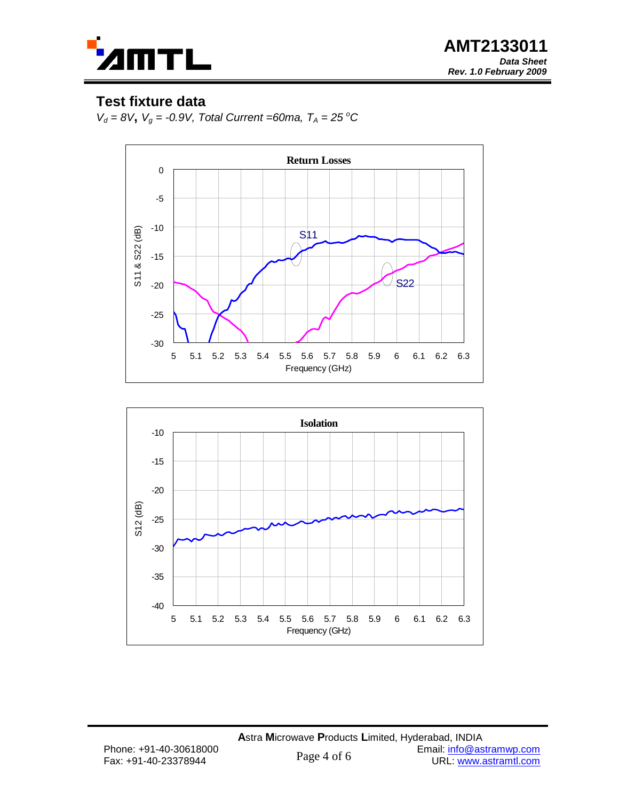

**AMT2133011 Data Sheet Rev. 1.0 February 2009**

### **Test fixture data**

 $V_d = 8V$ ,  $V_q = -0.9V$ , Total Current =60ma,  $T_A = 25\text{ }^{\circ}\text{C}$ 



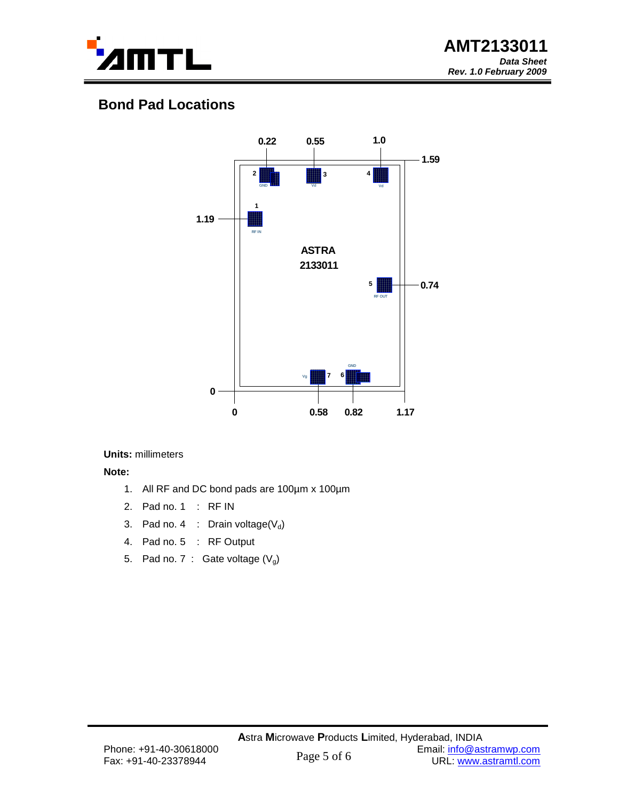

## **Bond Pad Locations**



#### **Units:** millimeters

**Note:**

- 1. All RF and DC bond pads are 100µm x 100µm
- 2. Pad no. 1 : RF IN
- 3. Pad no. 4 : Drain voltage( $V_d$ )
- 4. Pad no. 5 : RF Output
- 5. Pad no. 7 : Gate voltage  $(V_q)$